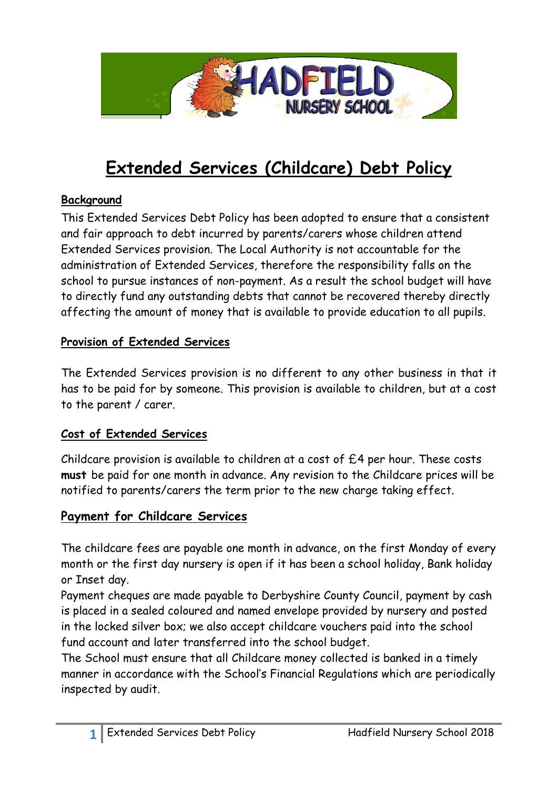

# **Extended Services (Childcare) Debt Policy**

### **Background**

This Extended Services Debt Policy has been adopted to ensure that a consistent and fair approach to debt incurred by parents/carers whose children attend Extended Services provision. The Local Authority is not accountable for the administration of Extended Services, therefore the responsibility falls on the school to pursue instances of non-payment. As a result the school budget will have to directly fund any outstanding debts that cannot be recovered thereby directly affecting the amount of money that is available to provide education to all pupils.

### **Provision of Extended Services**

The Extended Services provision is no different to any other business in that it has to be paid for by someone. This provision is available to children, but at a cost to the parent / carer.

#### **Cost of Extended Services**

Childcare provision is available to children at a cost of £4 per hour. These costs **must** be paid for one month in advance. Any revision to the Childcare prices will be notified to parents/carers the term prior to the new charge taking effect.

## **Payment for Childcare Services**

The childcare fees are payable one month in advance, on the first Monday of every month or the first day nursery is open if it has been a school holiday, Bank holiday or Inset day.

Payment cheques are made payable to Derbyshire County Council, payment by cash is placed in a sealed coloured and named envelope provided by nursery and posted in the locked silver box; we also accept childcare vouchers paid into the school fund account and later transferred into the school budget.

The School must ensure that all Childcare money collected is banked in a timely manner in accordance with the School's Financial Regulations which are periodically inspected by audit.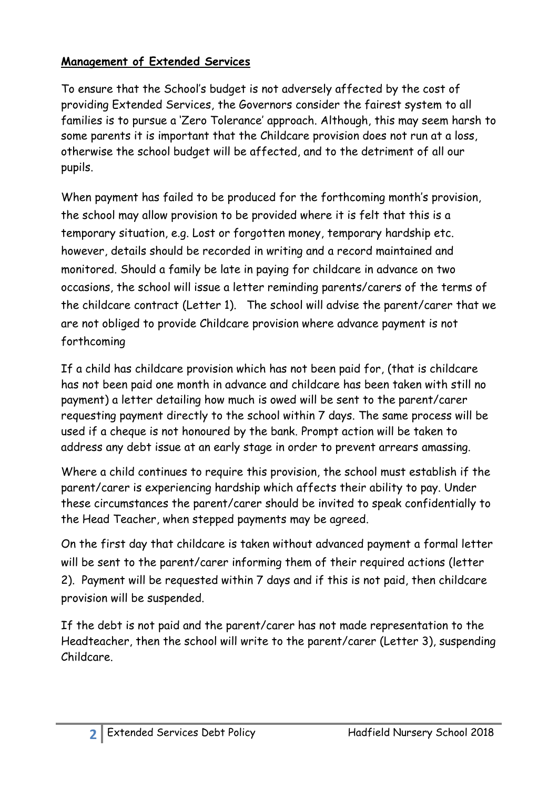# **Management of Extended Services**

To ensure that the School's budget is not adversely affected by the cost of providing Extended Services, the Governors consider the fairest system to all families is to pursue a 'Zero Tolerance' approach. Although, this may seem harsh to some parents it is important that the Childcare provision does not run at a loss, otherwise the school budget will be affected, and to the detriment of all our pupils.

When payment has failed to be produced for the forthcoming month's provision, the school may allow provision to be provided where it is felt that this is a temporary situation, e.g. Lost or forgotten money, temporary hardship etc. however, details should be recorded in writing and a record maintained and monitored. Should a family be late in paying for childcare in advance on two occasions, the school will issue a letter reminding parents/carers of the terms of the childcare contract (Letter 1). The school will advise the parent/carer that we are not obliged to provide Childcare provision where advance payment is not forthcoming

If a child has childcare provision which has not been paid for, (that is childcare has not been paid one month in advance and childcare has been taken with still no payment) a letter detailing how much is owed will be sent to the parent/carer requesting payment directly to the school within 7 days. The same process will be used if a cheque is not honoured by the bank. Prompt action will be taken to address any debt issue at an early stage in order to prevent arrears amassing.

Where a child continues to require this provision, the school must establish if the parent/carer is experiencing hardship which affects their ability to pay. Under these circumstances the parent/carer should be invited to speak confidentially to the Head Teacher, when stepped payments may be agreed.

On the first day that childcare is taken without advanced payment a formal letter will be sent to the parent/carer informing them of their required actions (letter 2). Payment will be requested within 7 days and if this is not paid, then childcare provision will be suspended.

If the debt is not paid and the parent/carer has not made representation to the Headteacher, then the school will write to the parent/carer (Letter 3), suspending Childcare.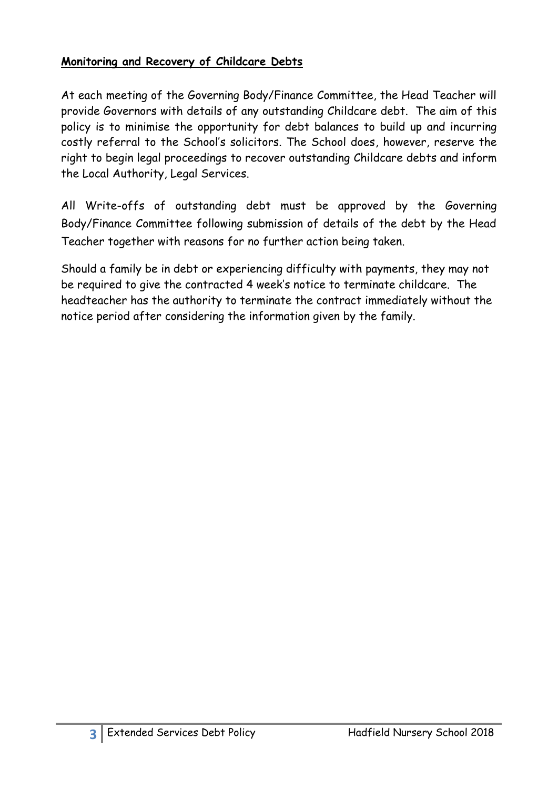### **Monitoring and Recovery of Childcare Debts**

At each meeting of the Governing Body/Finance Committee, the Head Teacher will provide Governors with details of any outstanding Childcare debt. The aim of this policy is to minimise the opportunity for debt balances to build up and incurring costly referral to the School's solicitors. The School does, however, reserve the right to begin legal proceedings to recover outstanding Childcare debts and inform the Local Authority, Legal Services.

All Write-offs of outstanding debt must be approved by the Governing Body/Finance Committee following submission of details of the debt by the Head Teacher together with reasons for no further action being taken.

Should a family be in debt or experiencing difficulty with payments, they may not be required to give the contracted 4 week's notice to terminate childcare. The headteacher has the authority to terminate the contract immediately without the notice period after considering the information given by the family.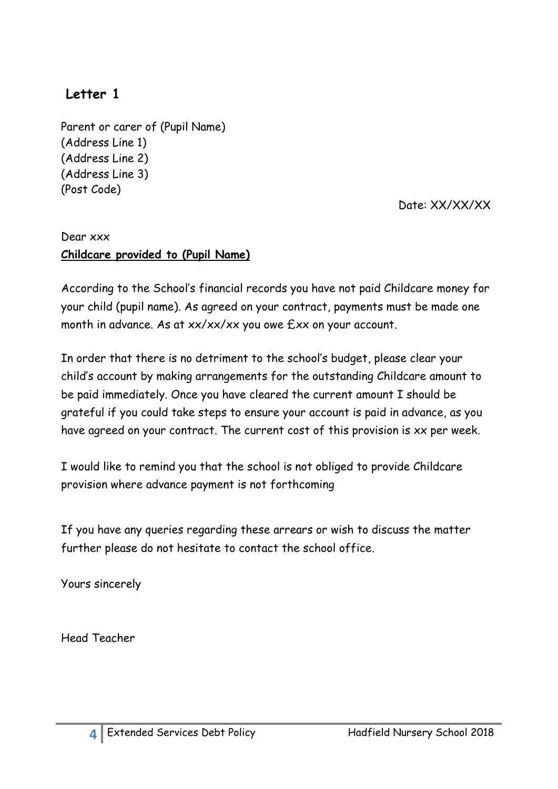# **Letter 1**

Parent or carer of (Pupil Name) (Address Line 1) (Address Line 2) (Address Line 3) (Post Code)

Date: XX/XX/XX

# Dear xxx **Childcare provided to (Pupil Name)**

According to the School's financial records you have not paid Childcare money for your child (pupil name). As agreed on your contract, payments must be made one month in advance. As at  $xx/xx/xx$  you owe  $Exx$  on your account.

In order that there is no detriment to the school's budget, please clear your child's account by making arrangements for the outstanding Childcare amount to be paid immediately. Once you have cleared the current amount I should be grateful if you could take steps to ensure your account is paid in advance, as you have agreed on your contract. The current cost of this provision is xx per week.

I would like to remind you that the school is not obliged to provide Childcare provision where advance payment is not forthcoming

If you have any queries regarding these arrears or wish to discuss the matter further please do not hesitate to contact the school office.

Yours sincerely

Head Teacher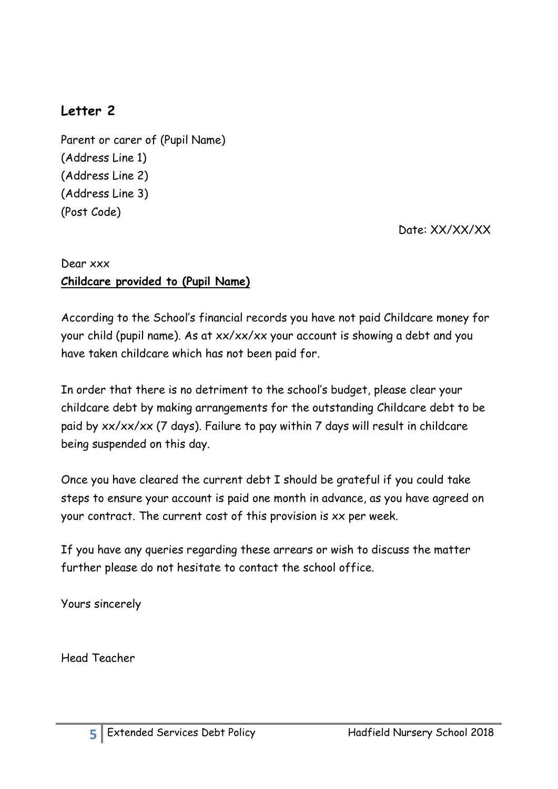# **Letter 2**

Parent or carer of (Pupil Name) (Address Line 1) (Address Line 2) (Address Line 3) (Post Code)

Date: XX/XX/XX

### Dear xxx **Childcare provided to (Pupil Name)**

According to the School's financial records you have not paid Childcare money for your child (pupil name). As at xx/xx/xx your account is showing a debt and you have taken childcare which has not been paid for.

In order that there is no detriment to the school's budget, please clear your childcare debt by making arrangements for the outstanding Childcare debt to be paid by xx/xx/xx (7 days). Failure to pay within 7 days will result in childcare being suspended on this day.

Once you have cleared the current debt I should be grateful if you could take steps to ensure your account is paid one month in advance, as you have agreed on your contract. The current cost of this provision is xx per week.

If you have any queries regarding these arrears or wish to discuss the matter further please do not hesitate to contact the school office.

Yours sincerely

Head Teacher